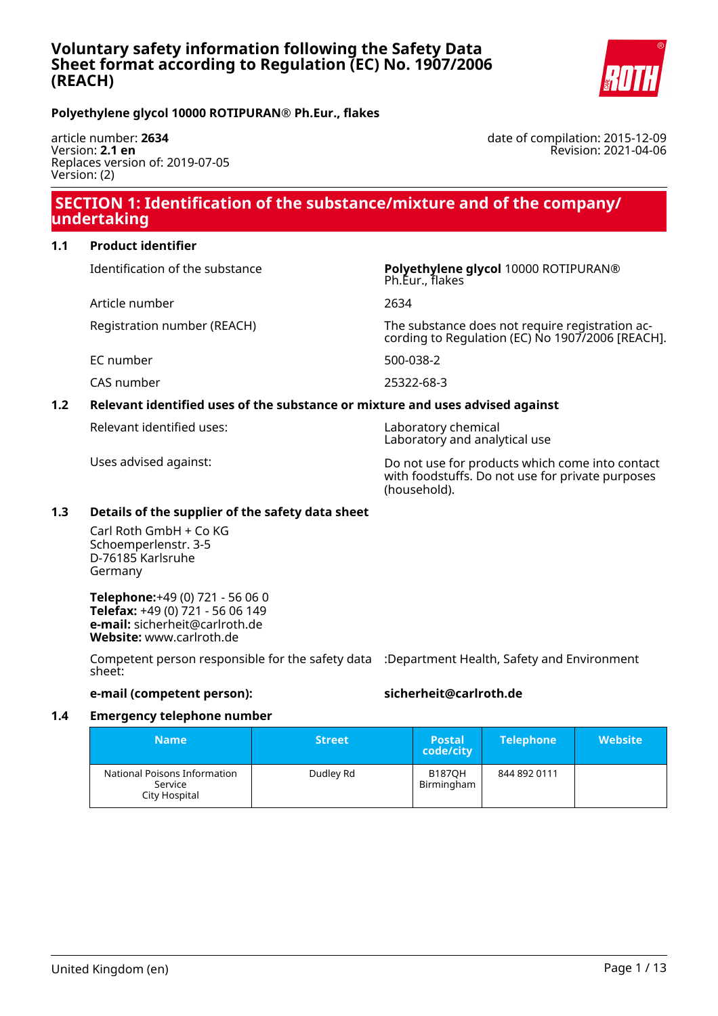

**Polyethylene glycol 10000 ROTIPURAN® Ph.Eur., flakes**

article number: **2634** Version: **2.1 en** Replaces version of: 2019-07-05 Version: (2)

date of compilation: 2015-12-09 Revision: 2021-04-06

# **SECTION 1: Identification of the substance/mixture and of the company/ undertaking**

#### **1.1 Product identifier**

Article number 2634

Identification of the substance **Polyethylene glycol** 10000 ROTIPURAN® Ph.Eur., flakes

Registration number (REACH) The substance does not require registration according to Regulation (EC) No 1907/2006 [REACH].

EC number 500-038-2

CAS number 25322-68-3

#### **1.2 Relevant identified uses of the substance or mixture and uses advised against**

Relevant identified uses: Laboratory chemical

Laboratory and analytical use

Uses advised against: Do not use for products which come into contact with foodstuffs. Do not use for private purposes (household).

#### **1.3 Details of the supplier of the safety data sheet**

Carl Roth GmbH + Co KG Schoemperlenstr. 3-5 D-76185 Karlsruhe Germany

**Telephone:**+49 (0) 721 - 56 06 0 **Telefax:** +49 (0) 721 - 56 06 149 **e-mail:** sicherheit@carlroth.de **Website:** www.carlroth.de

Competent person responsible for the safety data :Department Health, Safety and Environment sheet:

**e-mail (competent person): sicherheit@carlroth.de**

#### **1.4 Emergency telephone number**

| <b>Name</b>                                              | <b>Street</b> | <b>Postal</b><br>code/city  | <b>Telephone</b> | <b>Website</b> |
|----------------------------------------------------------|---------------|-----------------------------|------------------|----------------|
| National Poisons Information<br>Service<br>City Hospital | Dudley Rd     | <b>B187OH</b><br>Birmingham | 844 892 0111     |                |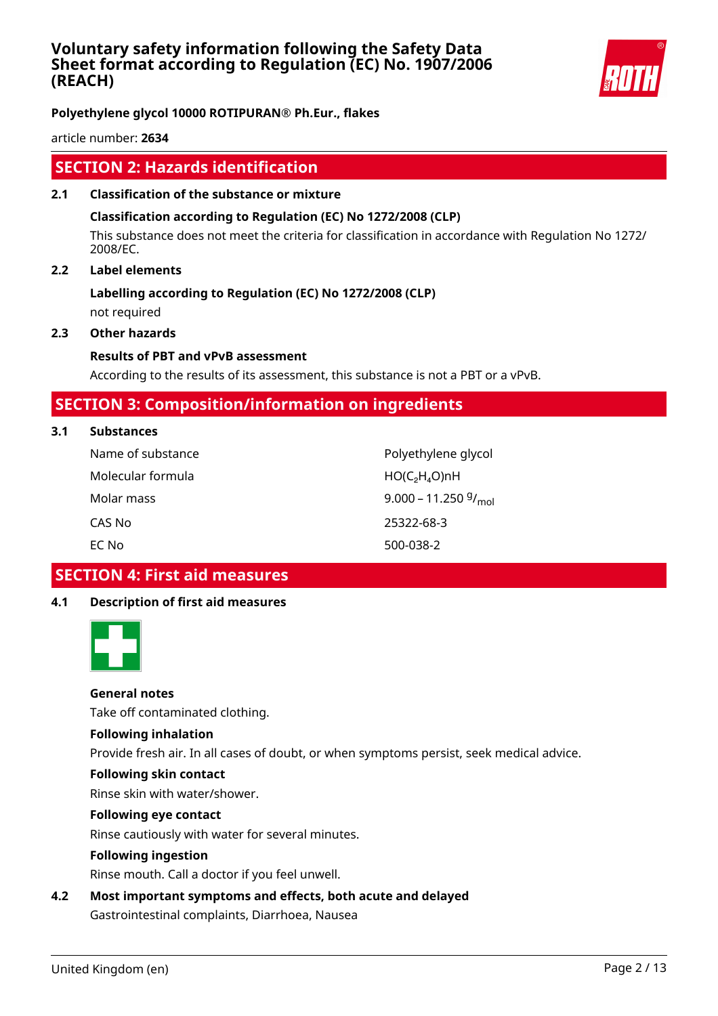

**Polyethylene glycol 10000 ROTIPURAN® Ph.Eur., flakes**

article number: **2634**

# **SECTION 2: Hazards identification**

**2.1 Classification of the substance or mixture**

#### **Classification according to Regulation (EC) No 1272/2008 (CLP)**

This substance does not meet the criteria for classification in accordance with Regulation No 1272/ 2008/EC.

#### **2.2 Label elements**

# **Labelling according to Regulation (EC) No 1272/2008 (CLP)**

not required

# **2.3 Other hazards**

# **Results of PBT and vPvB assessment**

According to the results of its assessment, this substance is not a PBT or a vPvB.

# **SECTION 3: Composition/information on ingredients**

**3.1 Substances**

| Name of substance | Polyethylene glycol            |
|-------------------|--------------------------------|
| Molecular formula | $HO(C_2H_4O)$ nH               |
| Molar mass        | 9.000 – 11.250 $\frac{g}{mol}$ |
| CAS No            | 25322-68-3                     |
| EC No             | 500-038-2                      |

 **SECTION 4: First aid measures**

# **4.1 Description of first aid measures**



#### **General notes**

Take off contaminated clothing.

#### **Following inhalation**

Provide fresh air. In all cases of doubt, or when symptoms persist, seek medical advice.

#### **Following skin contact**

Rinse skin with water/shower.

#### **Following eye contact**

Rinse cautiously with water for several minutes.

#### **Following ingestion**

Rinse mouth. Call a doctor if you feel unwell.

# **4.2 Most important symptoms and effects, both acute and delayed**

Gastrointestinal complaints, Diarrhoea, Nausea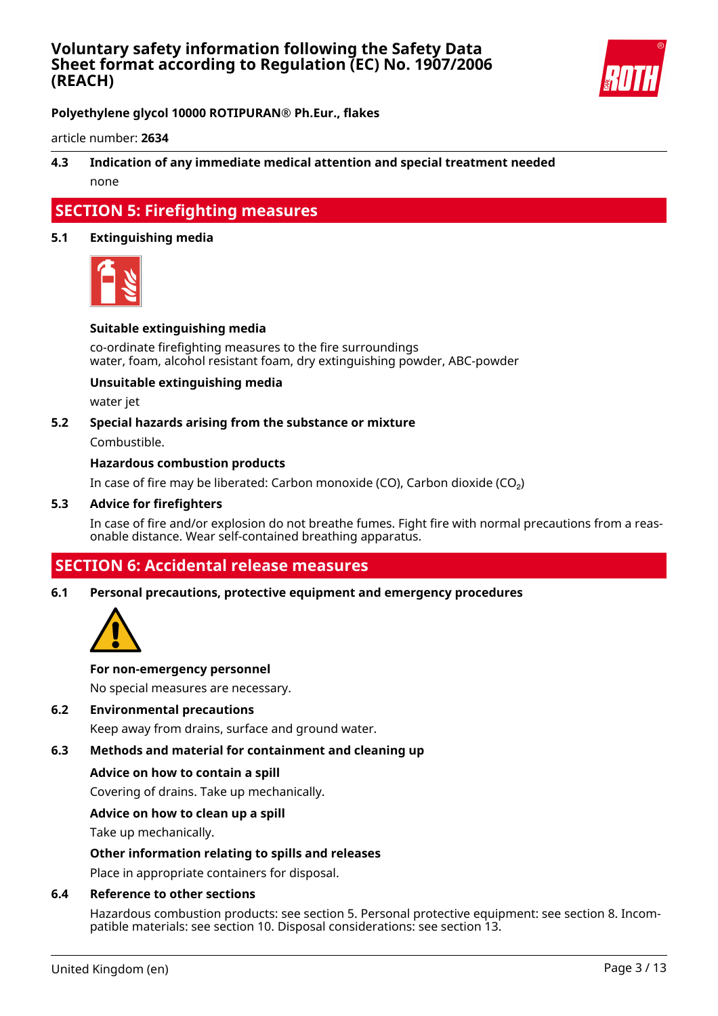

**Polyethylene glycol 10000 ROTIPURAN® Ph.Eur., flakes**

article number: **2634**

### **4.3 Indication of any immediate medical attention and special treatment needed** none

# **SECTION 5: Firefighting measures**

#### **5.1 Extinguishing media**



#### **Suitable extinguishing media**

co-ordinate firefighting measures to the fire surroundings water, foam, alcohol resistant foam, dry extinguishing powder, ABC-powder

#### **Unsuitable extinguishing media**

water jet

#### **5.2 Special hazards arising from the substance or mixture**

Combustible.

#### **Hazardous combustion products**

In case of fire may be liberated: Carbon monoxide (CO), Carbon dioxide (CO₂)

#### **5.3 Advice for firefighters**

In case of fire and/or explosion do not breathe fumes. Fight fire with normal precautions from a reasonable distance. Wear self-contained breathing apparatus.

# **SECTION 6: Accidental release measures**

#### **6.1 Personal precautions, protective equipment and emergency procedures**



#### **For non-emergency personnel**

No special measures are necessary.

#### **6.2 Environmental precautions**

Keep away from drains, surface and ground water.

#### **6.3 Methods and material for containment and cleaning up**

#### **Advice on how to contain a spill**

Covering of drains. Take up mechanically.

#### **Advice on how to clean up a spill**

Take up mechanically.

#### **Other information relating to spills and releases**

Place in appropriate containers for disposal.

#### **6.4 Reference to other sections**

Hazardous combustion products: see section 5. Personal protective equipment: see section 8. Incompatible materials: see section 10. Disposal considerations: see section 13.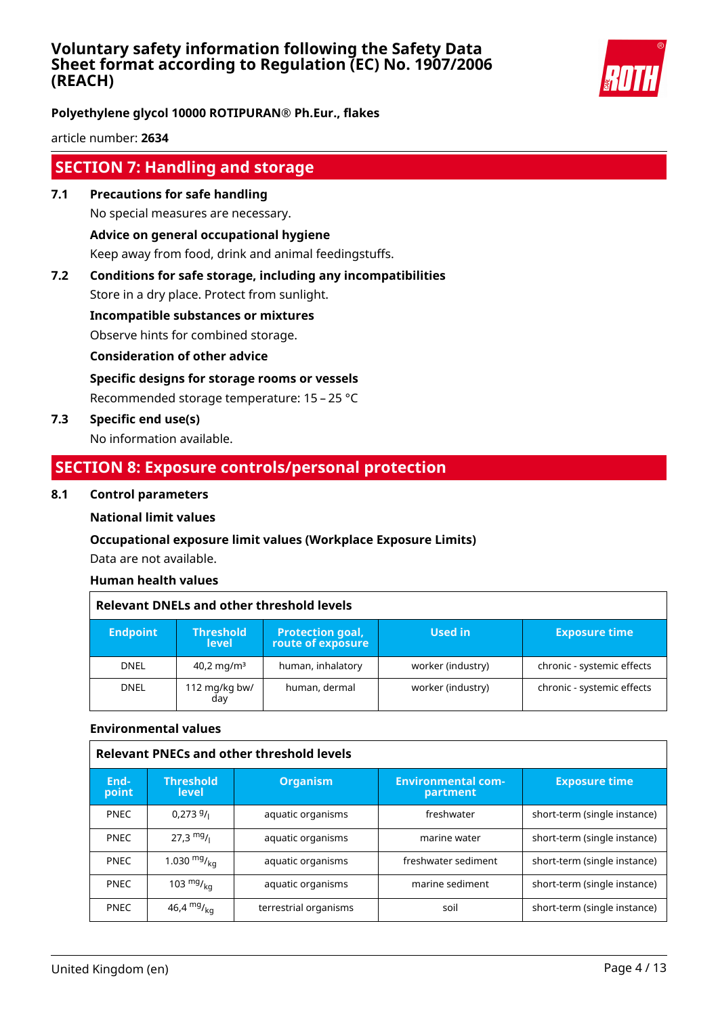

**Polyethylene glycol 10000 ROTIPURAN® Ph.Eur., flakes**

article number: **2634**

# **SECTION 7: Handling and storage**

- **7.1 Precautions for safe handling** No special measures are necessary. **Advice on general occupational hygiene** Keep away from food, drink and animal feedingstuffs.
- **7.2 Conditions for safe storage, including any incompatibilities**

Store in a dry place. Protect from sunlight.

**Incompatible substances or mixtures**

Observe hints for combined storage.

**Consideration of other advice**

**Specific designs for storage rooms or vessels**

Recommended storage temperature: 15 – 25 °C

**7.3 Specific end use(s)**

No information available.

# **SECTION 8: Exposure controls/personal protection**

#### **8.1 Control parameters**

#### **National limit values**

#### **Occupational exposure limit values (Workplace Exposure Limits)**

Data are not available.

#### **Human health values**

| <b>Relevant DNELs and other threshold levels</b> |                                  |                                              |                   |                            |
|--------------------------------------------------|----------------------------------|----------------------------------------------|-------------------|----------------------------|
| <b>Endpoint</b>                                  | <b>Threshold</b><br><b>level</b> | <b>Protection goal,</b><br>route of exposure | Used in           | <b>Exposure time</b>       |
| <b>DNEL</b>                                      | $40.2 \,\mathrm{mg/m^3}$         | human, inhalatory                            | worker (industry) | chronic - systemic effects |
| <b>DNEL</b>                                      | 112 mg/kg bw/<br>day             | human, dermal                                | worker (industry) | chronic - systemic effects |

#### **Environmental values**

| <b>Relevant PNECs and other threshold levels</b> |                                  |                       |                                       |                              |
|--------------------------------------------------|----------------------------------|-----------------------|---------------------------------------|------------------------------|
| End-<br>point                                    | <b>Threshold</b><br><b>level</b> | <b>Organism</b>       | <b>Environmental com-</b><br>partment | <b>Exposure time</b>         |
| <b>PNEC</b>                                      | 0.2739/                          | aquatic organisms     | freshwater                            | short-term (single instance) |
| <b>PNEC</b>                                      | $27.3 \text{ mg}$ /              | aquatic organisms     | marine water                          | short-term (single instance) |
| <b>PNEC</b>                                      | 1.030 $mgr_{k0}$                 | aquatic organisms     | freshwater sediment                   | short-term (single instance) |
| <b>PNEC</b>                                      | 103 $mg/_{ka}$                   | aquatic organisms     | marine sediment                       | short-term (single instance) |
| <b>PNEC</b>                                      | 46,4 $mg/_{ka}$                  | terrestrial organisms | soil                                  | short-term (single instance) |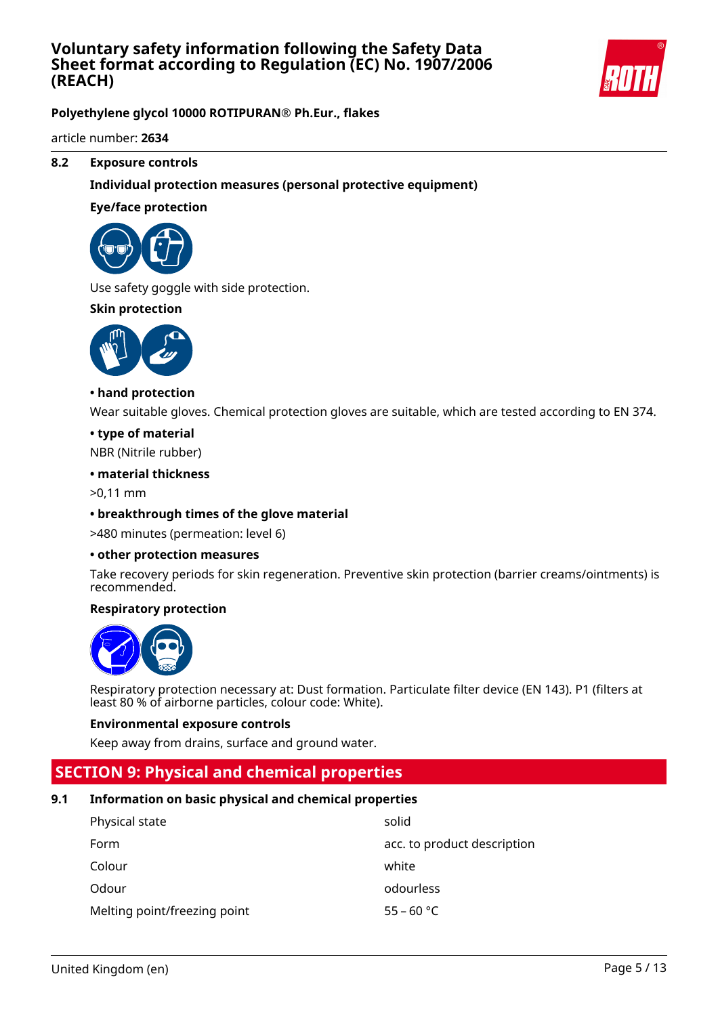

**Polyethylene glycol 10000 ROTIPURAN® Ph.Eur., flakes**

article number: **2634**

#### **8.2 Exposure controls**

#### **Individual protection measures (personal protective equipment)**

#### **Eye/face protection**



Use safety goggle with side protection.

#### **Skin protection**



#### **• hand protection**

Wear suitable gloves. Chemical protection gloves are suitable, which are tested according to EN 374.

#### **• type of material**

NBR (Nitrile rubber)

#### **• material thickness**

>0,11 mm

#### **• breakthrough times of the glove material**

>480 minutes (permeation: level 6)

#### **• other protection measures**

Take recovery periods for skin regeneration. Preventive skin protection (barrier creams/ointments) is recommended.

#### **Respiratory protection**



Respiratory protection necessary at: Dust formation. Particulate filter device (EN 143). P1 (filters at least 80 % of airborne particles, colour code: White).

#### **Environmental exposure controls**

Keep away from drains, surface and ground water.

# **SECTION 9: Physical and chemical properties**

#### **9.1 Information on basic physical and chemical properties**

| Physical state               | solid                       |
|------------------------------|-----------------------------|
| Form                         | acc. to product description |
| Colour                       | white                       |
| Odour                        | odourless                   |
| Melting point/freezing point | $55 - 60 °C$                |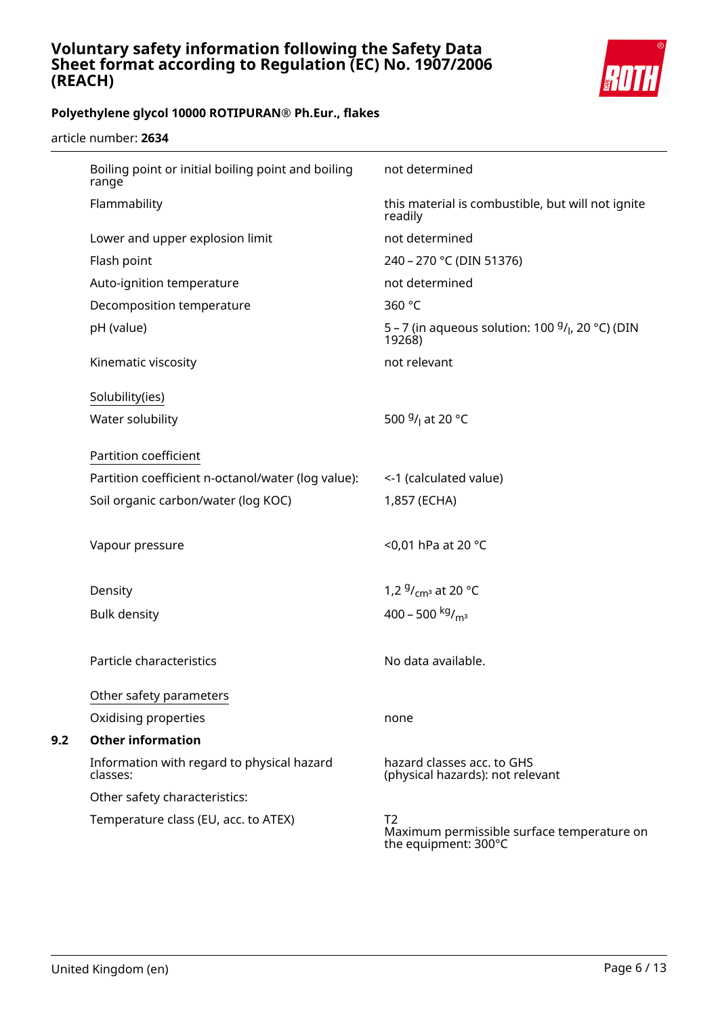

article number: **2634**

| Boiling point or initial boiling point and boiling<br>range | not determined                                                                       |
|-------------------------------------------------------------|--------------------------------------------------------------------------------------|
| Flammability                                                | this material is combustible, but will not ignite<br>readily                         |
| Lower and upper explosion limit                             | not determined                                                                       |
| Flash point                                                 | 240 - 270 °C (DIN 51376)                                                             |
| Auto-ignition temperature                                   | not determined                                                                       |
| Decomposition temperature                                   | 360 °C                                                                               |
| pH (value)                                                  | 5 – 7 (in aqueous solution: 100 $9/$ <sub>l</sub> , 20 °C) (DIN<br>19268)            |
| Kinematic viscosity                                         | not relevant                                                                         |
| Solubility(ies)                                             |                                                                                      |
| Water solubility                                            | 500 <sup>g</sup> / <sub>l</sub> at 20 °C                                             |
|                                                             |                                                                                      |
| Partition coefficient                                       |                                                                                      |
| Partition coefficient n-octanol/water (log value):          | <-1 (calculated value)                                                               |
| Soil organic carbon/water (log KOC)                         | 1,857 (ECHA)                                                                         |
| Vapour pressure                                             | <0,01 hPa at 20 °C                                                                   |
| Density                                                     | 1,2 $9/$ <sub>cm</sub> <sup>3</sup> at 20 °C                                         |
| <b>Bulk density</b>                                         | 400 - 500 kg/m <sup>3</sup>                                                          |
|                                                             |                                                                                      |
| Particle characteristics                                    | No data available.                                                                   |
| Other safety parameters                                     |                                                                                      |
| Oxidising properties                                        | none                                                                                 |
| <b>Other information</b>                                    |                                                                                      |
| Information with regard to physical hazard<br>classes:      | hazard classes acc. to GHS<br>(physical hazards): not relevant                       |
| Other safety characteristics:                               |                                                                                      |
| Temperature class (EU, acc. to ATEX)                        | T <sub>2</sub><br>Maximum permissible surface temperature on<br>the equipment: 300°C |

**9.2**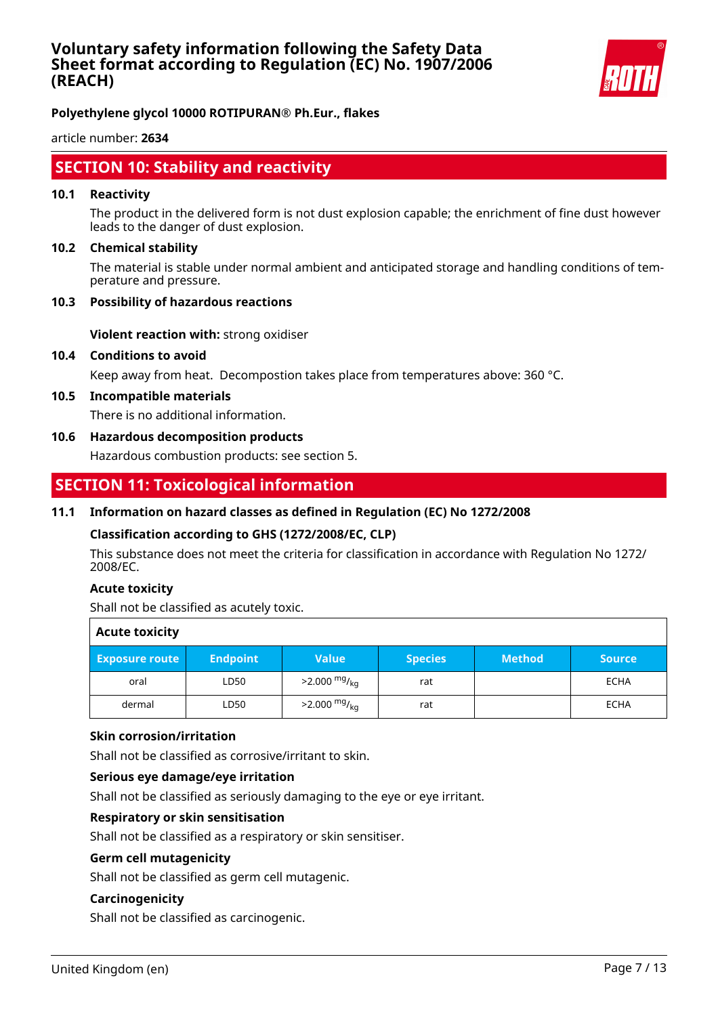

article number: **2634**

# **SECTION 10: Stability and reactivity**

#### **10.1 Reactivity**

The product in the delivered form is not dust explosion capable; the enrichment of fine dust however leads to the danger of dust explosion.

#### **10.2 Chemical stability**

The material is stable under normal ambient and anticipated storage and handling conditions of temperature and pressure.

#### **10.3 Possibility of hazardous reactions**

**Violent reaction with:** strong oxidiser

#### **10.4 Conditions to avoid**

Keep away from heat. Decompostion takes place from temperatures above: 360 °C.

#### **10.5 Incompatible materials**

There is no additional information.

#### **10.6 Hazardous decomposition products**

Hazardous combustion products: see section 5.

# **SECTION 11: Toxicological information**

#### **11.1 Information on hazard classes as defined in Regulation (EC) No 1272/2008**

#### **Classification according to GHS (1272/2008/EC, CLP)**

This substance does not meet the criteria for classification in accordance with Regulation No 1272/ 2008/EC.

#### **Acute toxicity**

Shall not be classified as acutely toxic.

| <b>Acute toxicity</b> |                 |                            |                |               |               |
|-----------------------|-----------------|----------------------------|----------------|---------------|---------------|
| <b>Exposure route</b> | <b>Endpoint</b> | <b>Value</b>               | <b>Species</b> | <b>Method</b> | <b>Source</b> |
| oral                  | LD50            | $>2.000 \frac{mg}{kg}$     | rat            |               | <b>ECHA</b>   |
| dermal                | LD50            | $>2.000$ mg/ <sub>ka</sub> | rat            |               | <b>ECHA</b>   |

#### **Skin corrosion/irritation**

Shall not be classified as corrosive/irritant to skin.

#### **Serious eye damage/eye irritation**

Shall not be classified as seriously damaging to the eye or eye irritant.

#### **Respiratory or skin sensitisation**

Shall not be classified as a respiratory or skin sensitiser.

#### **Germ cell mutagenicity**

Shall not be classified as germ cell mutagenic.

#### **Carcinogenicity**

Shall not be classified as carcinogenic.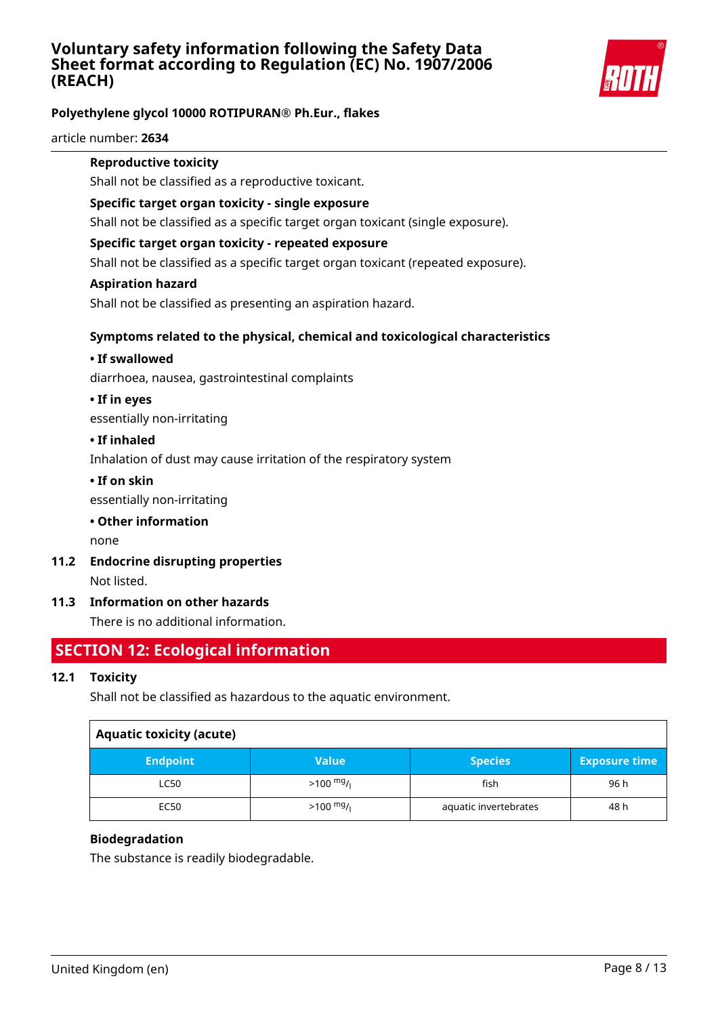

# **Polyethylene glycol 10000 ROTIPURAN® Ph.Eur., flakes**

article number: **2634**

#### **Reproductive toxicity**

Shall not be classified as a reproductive toxicant.

#### **Specific target organ toxicity - single exposure**

Shall not be classified as a specific target organ toxicant (single exposure).

#### **Specific target organ toxicity - repeated exposure**

Shall not be classified as a specific target organ toxicant (repeated exposure).

#### **Aspiration hazard**

Shall not be classified as presenting an aspiration hazard.

### **Symptoms related to the physical, chemical and toxicological characteristics**

#### **• If swallowed**

diarrhoea, nausea, gastrointestinal complaints

# **• If in eyes**

essentially non-irritating

#### **• If inhaled**

Inhalation of dust may cause irritation of the respiratory system

#### **• If on skin**

essentially non-irritating

#### **• Other information**

none

**11.2 Endocrine disrupting properties**

Not listed.

#### **11.3 Information on other hazards**

There is no additional information.

# **SECTION 12: Ecological information**

#### **12.1 Toxicity**

Shall not be classified as hazardous to the aquatic environment.

| <b>Aquatic toxicity (acute)</b> |                     |                       |                      |
|---------------------------------|---------------------|-----------------------|----------------------|
| <b>Endpoint</b>                 | <b>Value</b>        | <b>Species</b>        | <b>Exposure time</b> |
| <b>LC50</b>                     | $>100 \frac{mg}{l}$ | fish                  | 96 h                 |
| EC50                            | $>100 \frac{mg}{l}$ | aquatic invertebrates | 48 h                 |

#### **Biodegradation**

The substance is readily biodegradable.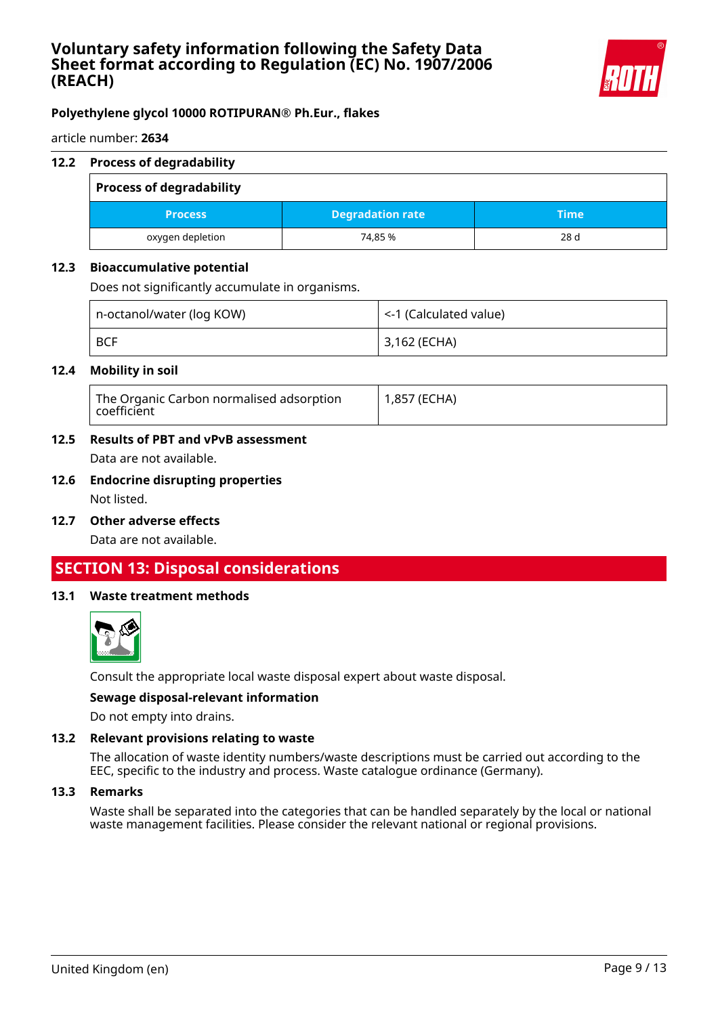

article number: **2634**

#### **12.2 Process of degradability**

| <b>Process of degradability</b> |                         |      |
|---------------------------------|-------------------------|------|
| <b>Process</b>                  | <b>Degradation rate</b> | Time |
| oxygen depletion                | 74.85 %                 | 28 d |

#### **12.3 Bioaccumulative potential**

Does not significantly accumulate in organisms.

| n-octanol/water (log KOW) | $\vert$ <-1 (Calculated value) |
|---------------------------|--------------------------------|
| <b>BCF</b>                | 3,162 (ECHA)                   |

#### **12.4 Mobility in soil**

| The Organic Carbon normalised adsorption<br>coefficient | 1,857 (ECHA) |
|---------------------------------------------------------|--------------|
|---------------------------------------------------------|--------------|

# **12.5 Results of PBT and vPvB assessment**

Data are not available.

# **12.6 Endocrine disrupting properties**

Not listed.

**12.7 Other adverse effects**

Data are not available.

# **SECTION 13: Disposal considerations**

#### **13.1 Waste treatment methods**



Consult the appropriate local waste disposal expert about waste disposal.

#### **Sewage disposal-relevant information**

Do not empty into drains.

#### **13.2 Relevant provisions relating to waste**

The allocation of waste identity numbers/waste descriptions must be carried out according to the EEC, specific to the industry and process. Waste catalogue ordinance (Germany).

#### **13.3 Remarks**

Waste shall be separated into the categories that can be handled separately by the local or national waste management facilities. Please consider the relevant national or regional provisions.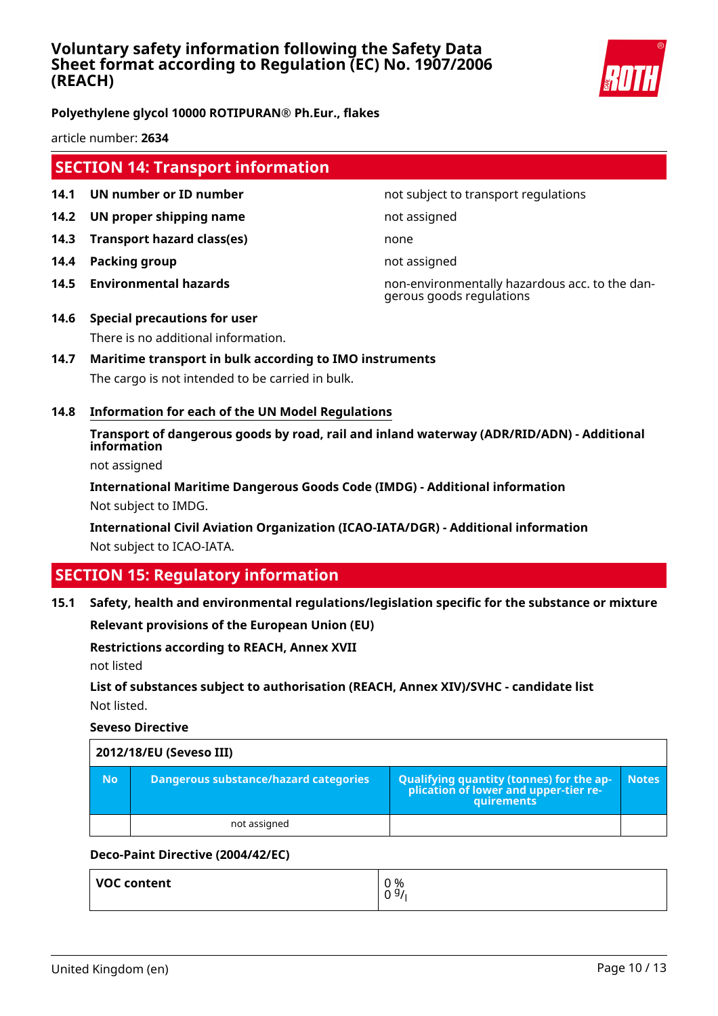

**Polyethylene glycol 10000 ROTIPURAN® Ph.Eur., flakes**

article number: **2634**

# **SECTION 14: Transport information**

- **14.1 UN number or ID number not subject to transport regulations**
- **14.2 UN proper shipping name** not assigned
- **14.3 Transport hazard class(es)** none
- **14.4 Packing group not assigned**
- 

**14.5 Environmental hazards** non-environmentally hazardous acc. to the dangerous goods regulations

- **14.6 Special precautions for user** There is no additional information.
- **14.7 Maritime transport in bulk according to IMO instruments** The cargo is not intended to be carried in bulk.
- **14.8 Information for each of the UN Model Regulations**

**Transport of dangerous goods by road, rail and inland waterway (ADR/RID/ADN) - Additional information**

not assigned

**International Maritime Dangerous Goods Code (IMDG) - Additional information** Not subject to IMDG.

**International Civil Aviation Organization (ICAO-IATA/DGR) - Additional information** Not subject to ICAO-IATA.

# **SECTION 15: Regulatory information**

**15.1 Safety, health and environmental regulations/legislation specific for the substance or mixture**

**Relevant provisions of the European Union (EU)**

#### **Restrictions according to REACH, Annex XVII**

not listed

**List of substances subject to authorisation (REACH, Annex XIV)/SVHC - candidate list** Not listed.

**Seveso Directive**

|           | 2012/18/EU (Seveso III)               |                                                                                                   |              |  |
|-----------|---------------------------------------|---------------------------------------------------------------------------------------------------|--------------|--|
| <b>No</b> | Dangerous substance/hazard categories | Qualifying quantity (tonnes) for the ap-<br>  plication of lower and upper-tier re-<br>quirements | <b>Notes</b> |  |
|           | not assigned                          |                                                                                                   |              |  |

#### **Deco-Paint Directive (2004/42/EC)**

| VOC content | 0 %  |
|-------------|------|
|             | 09/1 |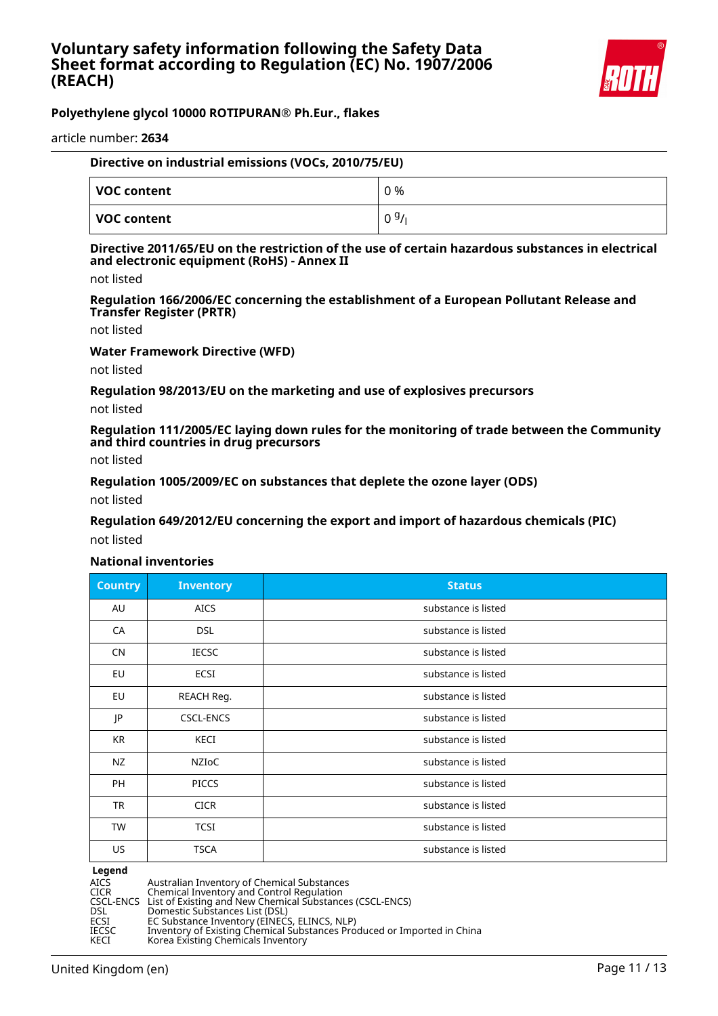

article number: **2634**

| Directive on industrial emissions (VOCs, 2010/75/EU) |      |  |
|------------------------------------------------------|------|--|
| VOC content                                          | 0 %  |  |
| $\mid$ VOC content                                   | 0.9/ |  |

#### **Directive 2011/65/EU on the restriction of the use of certain hazardous substances in electrical and electronic equipment (RoHS) - Annex II**

not listed

**Regulation 166/2006/EC concerning the establishment of a European Pollutant Release and Transfer Register (PRTR)**

not listed

**Water Framework Directive (WFD)**

not listed

**Regulation 98/2013/EU on the marketing and use of explosives precursors**

not listed

**Regulation 111/2005/EC laying down rules for the monitoring of trade between the Community and third countries in drug precursors**

not listed

**Regulation 1005/2009/EC on substances that deplete the ozone layer (ODS)**

not listed

**Regulation 649/2012/EU concerning the export and import of hazardous chemicals (PIC)**

not listed

#### **National inventories**

| Country   | <b>Inventory</b> | <b>Status</b>       |
|-----------|------------------|---------------------|
| AU        | <b>AICS</b>      | substance is listed |
| CA        | <b>DSL</b>       | substance is listed |
| <b>CN</b> | <b>IECSC</b>     | substance is listed |
| EU        | <b>ECSI</b>      | substance is listed |
| EU        | REACH Reg.       | substance is listed |
| JP        | CSCL-ENCS        | substance is listed |
| KR        | KECI             | substance is listed |
| NZ        | NZIOC            | substance is listed |
| PH        | <b>PICCS</b>     | substance is listed |
| TR        | <b>CICR</b>      | substance is listed |
| TW        | <b>TCSI</b>      | substance is listed |
| US        | <b>TSCA</b>      | substance is listed |

# **Legend**<br>AICS<br>CICR

AICS Australian Inventory of Chemical Substances

CICR Chemical Inventory and Control Regulation CSCL-ENCS List of Existing and New Chemical Substances (CSCL-ENCS)

DSL Domestic Substances List (DSL)

ECSI EC Substance Inventory (EINECS, ELINCS, NLP)

IECSC Inventory of Existing Chemical Substances Produced or Imported in China

KECI Korea Existing Chemicals Inventory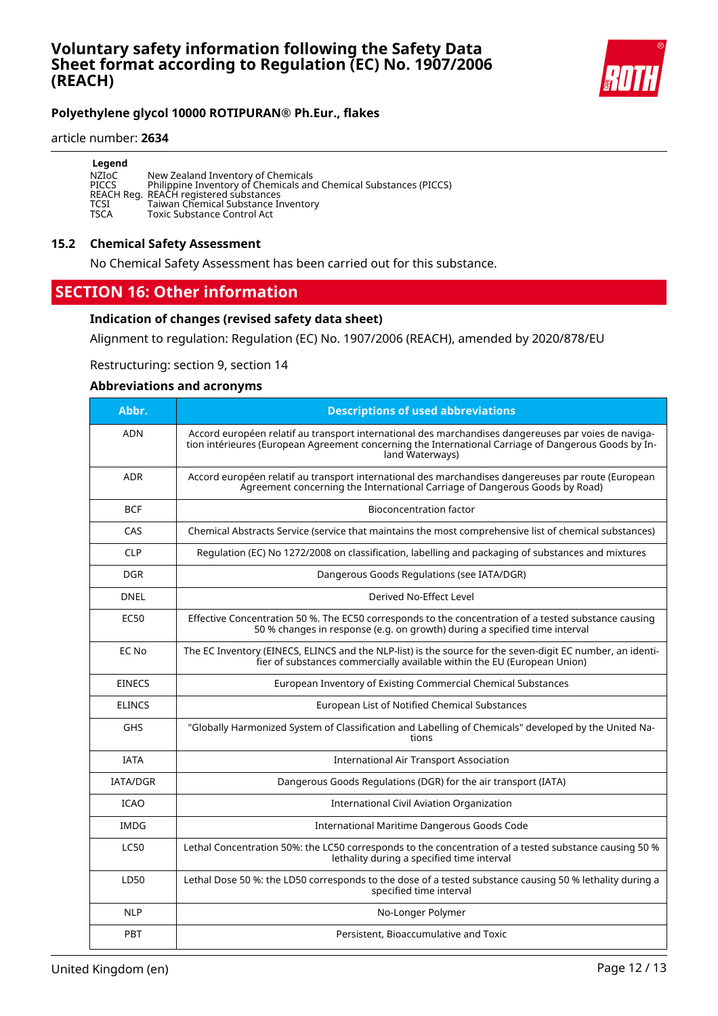

#### article number: **2634**

| Legend       |                                                                   |
|--------------|-------------------------------------------------------------------|
| NZIoC        | New Zealand Inventory of Chemicals                                |
| <b>PICCS</b> | Philippine Inventory of Chemicals and Chemical Substances (PICCS) |
|              | REACH Reg. REACH registered substances                            |
| TCSI         | Taiwan Chemical Substance Inventory                               |
| TSCA         | <b>Toxic Substance Control Act</b>                                |

#### **15.2 Chemical Safety Assessment**

No Chemical Safety Assessment has been carried out for this substance.

# **SECTION 16: Other information**

#### **Indication of changes (revised safety data sheet)**

Alignment to regulation: Regulation (EC) No. 1907/2006 (REACH), amended by 2020/878/EU

Restructuring: section 9, section 14

#### **Abbreviations and acronyms**

| Abbr.           | <b>Descriptions of used abbreviations</b>                                                                                                                                                                                       |
|-----------------|---------------------------------------------------------------------------------------------------------------------------------------------------------------------------------------------------------------------------------|
| <b>ADN</b>      | Accord européen relatif au transport international des marchandises dangereuses par voies de naviga-<br>tion intérieures (European Agreement concerning the International Carriage of Dangerous Goods by In-<br>land Waterways) |
| <b>ADR</b>      | Accord européen relatif au transport international des marchandises dangereuses par route (European<br>Agreement concerning the International Carriage of Dangerous Goods by Road)                                              |
| <b>BCF</b>      | <b>Bioconcentration factor</b>                                                                                                                                                                                                  |
| CAS             | Chemical Abstracts Service (service that maintains the most comprehensive list of chemical substances)                                                                                                                          |
| <b>CLP</b>      | Regulation (EC) No 1272/2008 on classification, labelling and packaging of substances and mixtures                                                                                                                              |
| <b>DGR</b>      | Dangerous Goods Regulations (see IATA/DGR)                                                                                                                                                                                      |
| <b>DNEL</b>     | Derived No-Effect Level                                                                                                                                                                                                         |
| <b>EC50</b>     | Effective Concentration 50 %. The EC50 corresponds to the concentration of a tested substance causing<br>50 % changes in response (e.g. on growth) during a specified time interval                                             |
| EC No           | The EC Inventory (EINECS, ELINCS and the NLP-list) is the source for the seven-digit EC number, an identi-<br>fier of substances commercially available within the EU (European Union)                                          |
| <b>EINECS</b>   | European Inventory of Existing Commercial Chemical Substances                                                                                                                                                                   |
| <b>ELINCS</b>   | European List of Notified Chemical Substances                                                                                                                                                                                   |
| <b>GHS</b>      | "Globally Harmonized System of Classification and Labelling of Chemicals" developed by the United Na-<br>tions                                                                                                                  |
| <b>IATA</b>     | <b>International Air Transport Association</b>                                                                                                                                                                                  |
| <b>IATA/DGR</b> | Dangerous Goods Regulations (DGR) for the air transport (IATA)                                                                                                                                                                  |
| <b>ICAO</b>     | <b>International Civil Aviation Organization</b>                                                                                                                                                                                |
| <b>IMDG</b>     | International Maritime Dangerous Goods Code                                                                                                                                                                                     |
| <b>LC50</b>     | Lethal Concentration 50%: the LC50 corresponds to the concentration of a tested substance causing 50 %<br>lethality during a specified time interval                                                                            |
| LD50            | Lethal Dose 50 %: the LD50 corresponds to the dose of a tested substance causing 50 % lethality during a<br>specified time interval                                                                                             |
| <b>NLP</b>      | No-Longer Polymer                                                                                                                                                                                                               |
| <b>PBT</b>      | Persistent, Bioaccumulative and Toxic                                                                                                                                                                                           |